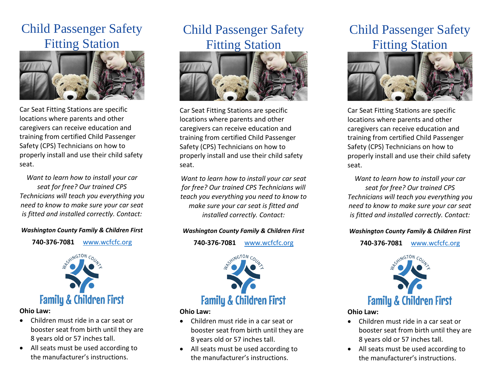# Child Passenger Safety Fitting Station



Car Seat Fitting Stations are specific locations where parents and other caregivers can receive education and training from certified Child Passenger Safety (CPS) Technicians on how to properly install and use their child safety seat.

*Want to learn how to install your car seat for free? Our trained CPS Technicians will teach you everything you need to know to make sure your car seat is fitted and installed correctly. Contact:* 

*Washington County Family & Children First* 

**740-376-7081** [www.wcfcfc.org](http://www.wcfcfc.org/)



**Ohio Law:**

- Children must ride in a car seat or booster seat from birth until they are 8 years old or 57 inches tall.
- All seats must be used according to the manufacturer's instructions.